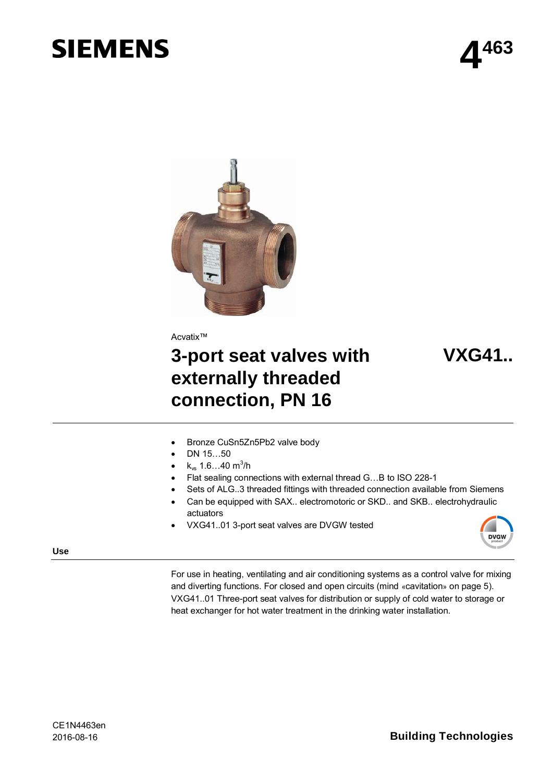# **SIEMENS**



Acvatix™

## **3-port seat valves with externally threaded connection, PN 16**

## **VXG41..**

- Bronze CuSn5Zn5Pb2 valve body
- $\bullet$  DN 15…50
- $k_{vs}$  1.6…40 m<sup>3</sup>/h
- Flat sealing connections with external thread G...B to ISO 228-1
- Sets of ALG..3 threaded fittings with threaded connection available from Siemens
- Can be equipped with SAX.. electromotoric or SKD.. and SKB.. electrohydraulic actuators
- x VXG41..01 3-port seat valves are DVGW tested



**Use**

For use in heating, ventilating and air conditioning systems as a control valve for mixing and diverting functions. For closed and open circuits (mind «cavitation» on page 5). VXG41..01 Three-port seat valves for distribution or supply of cold water to storage or heat exchanger for hot water treatment in the drinking water installation.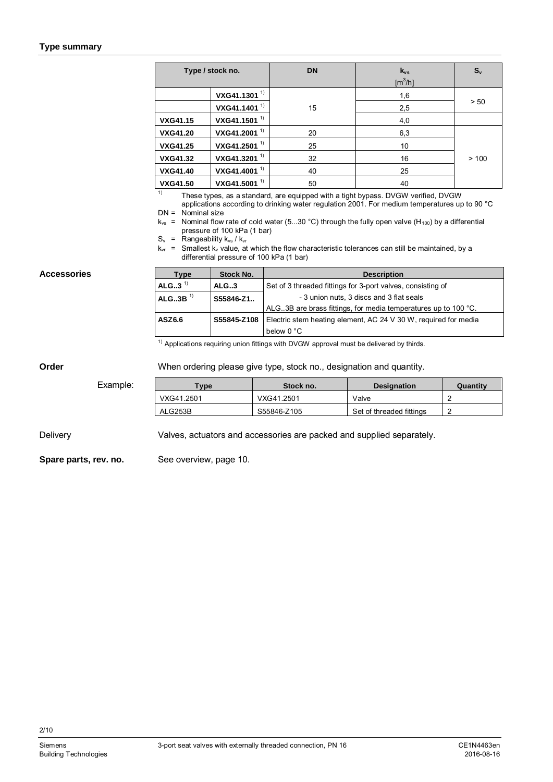#### **Type summary**

| Type / stock no. |                          | <b>DN</b> | $k_{vs}$<br>$[m^3/h]$ | $S_{v}$ |
|------------------|--------------------------|-----------|-----------------------|---------|
|                  | VXG41.1301 <sup>1)</sup> |           | 1,6                   |         |
|                  | VXG41.1401 <sup>1)</sup> | 15        | 2,5                   | > 50    |
| <b>VXG41.15</b>  | VXG41.1501 <sup>1)</sup> |           | 4,0                   |         |
| <b>VXG41.20</b>  | VXG41.2001 <sup>1)</sup> | 20        | 6,3                   |         |
| <b>VXG41.25</b>  | VXG41.2501 <sup>1)</sup> | 25        | 10                    |         |
| <b>VXG41.32</b>  | VXG41.3201 <sup>1)</sup> | 32        | 16                    | >100    |
| <b>VXG41.40</b>  | VXG41.4001 <sup>1)</sup> | 40        | 25                    |         |
| <b>VXG41.50</b>  | VXG41.5001 $^{1)}$       | 50        | 40                    |         |

<sup>1)</sup> These types, as a standard, are equipped with a tight bypass. DVGW verified, DVGW applications according to drinking water regulation 2001. For medium temperatures up to 90 °C

 $DN =$  Nominal size

 $k_{vs}$  = Nominal flow rate of cold water (5...30 °C) through the fully open valve (H<sub>100</sub>) by a differential pressure of 100 kPa (1 bar)

 $S_v$  = Rangeability  $k_{vs}$  /  $k_{vr}$ 

 $k_{vr}$  = Smallest k<sub>v</sub> value, at which the flow characteristic tolerances can still be maintained, by a differential pressure of 100 kPa (1 bar)

#### **Accessories**

| Type                  | Stock No.   | <b>Description</b>                                               |  |  |  |
|-----------------------|-------------|------------------------------------------------------------------|--|--|--|
| ALG3 <sup>1)</sup>    | ALG.3       | Set of 3 threaded fittings for 3-port valves, consisting of      |  |  |  |
| $ALG3B$ <sup>1)</sup> | S55846-Z1   | - 3 union nuts, 3 discs and 3 flat seals                         |  |  |  |
|                       |             | ALG. 3B are brass fittings, for media temperatures up to 100 °C. |  |  |  |
| ASZ6.6                | S55845-Z108 | Electric stem heating element, AC 24 V 30 W, required for media  |  |  |  |
|                       |             | below 0 °C                                                       |  |  |  |
|                       |             |                                                                  |  |  |  |

 $1)$  Applications requiring union fittings with DVGW approval must be delivered by thirds.

#### **Order**

When ordering please give type, stock no., designation and quantity.

Example:

| $_{\rm \tau ype}$ | Stock no.   | <b>Designation</b>       | Quantity |
|-------------------|-------------|--------------------------|----------|
| VXG41.2501        | VXG41.2501  | Valve                    |          |
| ALG253B           | S55846-Z105 | Set of threaded fittings |          |

Valves, actuators and accessories are packed and supplied separately. Delivery

See overview, page 10. **Spare parts, rev. no.**

2/10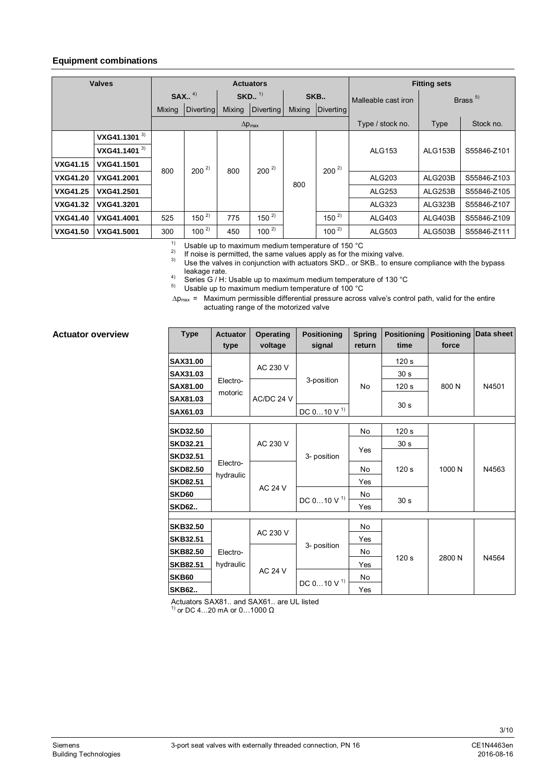#### **Equipment combinations**

| <b>Valves</b>   |                          |        |                      |                      | <b>Actuators</b>        | <b>Fitting sets</b> |           |                     |                |             |
|-----------------|--------------------------|--------|----------------------|----------------------|-------------------------|---------------------|-----------|---------------------|----------------|-------------|
|                 |                          |        | $SAX.$ <sup>4)</sup> | $SKD.$ <sup>1)</sup> |                         | SKB                 |           | Malleable cast iron | Brass $5$      |             |
|                 |                          | Mixing | <b>Diverting</b>     | Mixing               | Diverting               | Mixing              | Diverting |                     |                |             |
|                 |                          |        |                      |                      | $\Delta p_{\text{max}}$ |                     |           | Type / stock no.    | Type           | Stock no.   |
|                 | VXG41.1301 <sup>3)</sup> |        |                      |                      |                         |                     |           |                     |                |             |
|                 | VXG41.1401 <sup>3)</sup> |        |                      | 800                  | $200^{2}$               |                     |           | <b>ALG153</b>       | <b>ALG153B</b> | S55846-Z101 |
| <b>VXG41.15</b> | <b>VXG41.1501</b>        | 800    | $200^{2}$            |                      |                         |                     | $200^{2}$ |                     |                |             |
| <b>VXG41.20</b> | VXG41.2001               |        |                      |                      |                         | 800                 |           | ALG203              | ALG203B        | S55846-Z103 |
| <b>VXG41.25</b> | VXG41.2501               |        |                      |                      |                         |                     |           | <b>ALG253</b>       | ALG253B        | S55846-Z105 |
| <b>VXG41.32</b> | VXG41.3201               |        |                      |                      |                         |                     |           | ALG323              | ALG323B        | S55846-Z107 |
| <b>VXG41.40</b> | <b>VXG41.4001</b>        | 525    | $150^{2}$            | 775                  | $150^{2}$               |                     | $150^{2}$ | ALG403              | ALG403B        | S55846-Z109 |
| <b>VXG41.50</b> | VXG41.5001               | 300    | $100^{2}$            | 450                  | $100^{2}$               |                     | $100^{2}$ | ALG503              | ALG503B        | S55846-Z111 |

<sup>1)</sup> Usable up to maximum medium temperature of 150  $^{\circ}$ C<br><sup>2)</sup> Explicitly integrating the contract the continuation for the continuation

<sup>2)</sup> If noise is permitted, the same values apply as for the mixing valve.<br><sup>3)</sup> Lise the valves in conjunction with actuators SKD, or SKB, to ensure

Use the valves in conjunction with actuators SKD.. or SKB.. to ensure compliance with the bypass leakage rate.

4)<br>
Series G / H: Usable up to maximum medium temperature of 130 °C<br>
Usable up to maximum medium temperature of 100 °C

Usable up to maximum medium temperature of 100 °C

 $\Delta p_{\text{max}}$  = Maximum permissible differential pressure across valve's control path, valid for the entire actuating range of the motorized valve

#### **Actuator overview**

| <b>Type</b>     | <b>Actuator</b><br>type | <b>Operating</b><br>voltage | <b>Positioning</b><br>signal | <b>Spring</b><br>return | <b>Positioning</b><br>time | Positioning Data sheet<br>force |       |
|-----------------|-------------------------|-----------------------------|------------------------------|-------------------------|----------------------------|---------------------------------|-------|
| SAX31.00        |                         |                             |                              |                         | 120 <sub>s</sub>           |                                 |       |
| <b>SAX31.03</b> |                         | AC 230 V                    |                              |                         | 30 <sub>s</sub>            |                                 |       |
| SAX81.00        | Electro-                |                             | 3-position                   | No                      | 120 <sub>s</sub>           | 800N                            | N4501 |
| SAX81.03        | motoric                 | AC/DC 24 V                  |                              |                         | 30 <sub>s</sub>            |                                 |       |
| SAX61.03        |                         |                             | DC $0$ 10 V <sup>1)</sup>    |                         |                            |                                 |       |
| <b>SKD32.50</b> |                         |                             |                              | No                      | 120 <sub>s</sub>           |                                 |       |
| <b>SKD32.21</b> |                         | AC 230 V                    | 3- position                  |                         | 30 <sub>s</sub>            | 1000 N                          | N4563 |
| <b>SKD32.51</b> |                         |                             |                              | Yes                     |                            |                                 |       |
| <b>SKD82.50</b> | Electro-                | <b>AC 24 V</b>              |                              | No                      | 120 <sub>s</sub>           |                                 |       |
| <b>SKD82.51</b> | hydraulic               |                             |                              | Yes                     |                            |                                 |       |
| SKD60           |                         |                             | DC $010 V$ <sup>1)</sup>     | No                      |                            |                                 |       |
| <b>SKD62</b>    |                         |                             |                              | Yes                     | 30 <sub>s</sub>            |                                 |       |
|                 |                         |                             |                              |                         |                            |                                 |       |
| SKB32.50        |                         | AC 230 V                    |                              | No                      |                            |                                 |       |
| <b>SKB32.51</b> |                         |                             | 3- position                  | Yes                     |                            |                                 | N4564 |
| <b>SKB82.50</b> | Electro-                |                             |                              | No                      | 120 <sub>s</sub>           | 2800 N                          |       |
| <b>SKB82.51</b> | hydraulic               | <b>AC 24 V</b>              |                              | Yes                     |                            |                                 |       |
| SKB60           |                         |                             | DC $010 V$ <sup>1)</sup>     | No                      |                            |                                 |       |
| <b>SKB62</b>    |                         |                             |                              | Yes                     |                            |                                 |       |

Actuators SAX81.. and SAX61.. are UL listed<br><sup>1)</sup> or DC 4...20 mA or 0...1000 Ω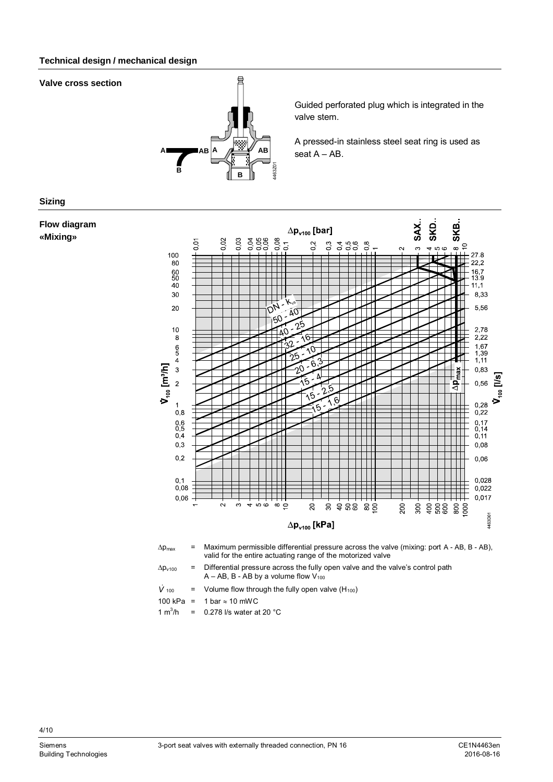#### **Technical design / mechanical design**

#### **Valve cross section**



Guided perforated plug which is integrated in the valve stem.

A pressed-in stainless steel seat ring is used as seat A – AB.

#### **Sizing**

#### **Flow diagram «Mixing»**



- *V* = Volume flow through the fully open valve  $(H_{100})$
- 100 kPa = 1 bar  $\approx$  10 mWC

1  $m^3/h$ =  $0.278$  I/s water at 20 °C

4/10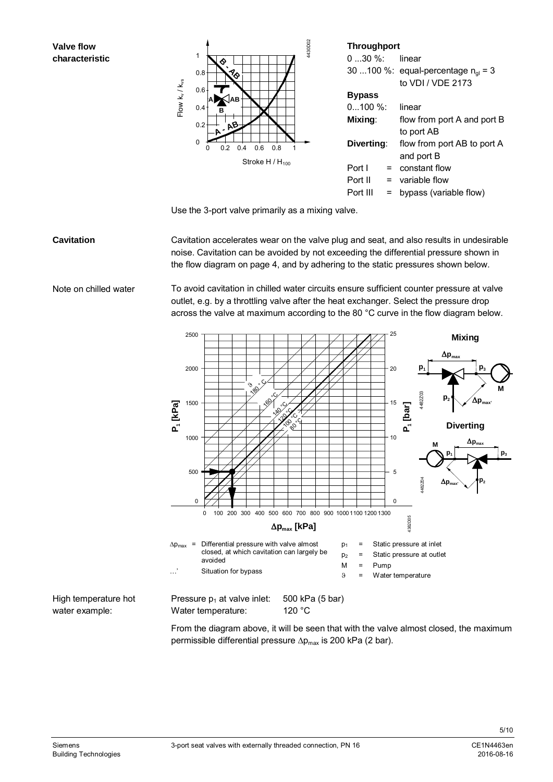#### **Valve flow characteristic**



Use the 3-port valve primarily as a mixing valve.

#### **Cavitation**

Cavitation accelerates wear on the valve plug and seat, and also results in undesirable noise. Cavitation can be avoided by not exceeding the differential pressure shown in the flow diagram on page 4, and by adhering to the static pressures shown below.

Note on chilled water

To avoid cavitation in chilled water circuits ensure sufficient counter pressure at valve outlet, e.g. by a throttling valve after the heat exchanger. Select the pressure drop across the valve at maximum according to the 80 °C curve in the flow diagram below.



From the diagram above, it will be seen that with the valve almost closed, the maximum permissible differential pressure  $\Delta p_{max}$  is 200 kPa (2 bar).

water example: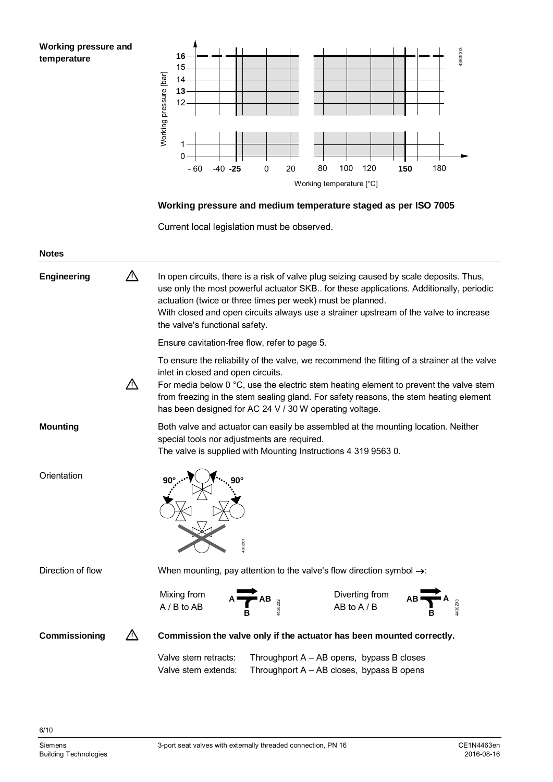**Working pressure and temperature**



### **Working pressure and medium temperature staged as per ISO 7005**

Current local legislation must be observed.

| <b>Notes</b>      |    |                                                                                                                                                                                                                                                                                                                                                                                         |  |  |  |  |  |
|-------------------|----|-----------------------------------------------------------------------------------------------------------------------------------------------------------------------------------------------------------------------------------------------------------------------------------------------------------------------------------------------------------------------------------------|--|--|--|--|--|
| Engineering       | ╱╲ | In open circuits, there is a risk of valve plug seizing caused by scale deposits. Thus,<br>use only the most powerful actuator SKB for these applications. Additionally, periodic<br>actuation (twice or three times per week) must be planned.<br>With closed and open circuits always use a strainer upstream of the valve to increase<br>the valve's functional safety.              |  |  |  |  |  |
|                   |    | Ensure cavitation-free flow, refer to page 5.                                                                                                                                                                                                                                                                                                                                           |  |  |  |  |  |
|                   | Λ  | To ensure the reliability of the valve, we recommend the fitting of a strainer at the valve<br>inlet in closed and open circuits.<br>For media below $0^{\circ}$ C, use the electric stem heating element to prevent the valve stem<br>from freezing in the stem sealing gland. For safety reasons, the stem heating element<br>has been designed for AC 24 V / 30 W operating voltage. |  |  |  |  |  |
| <b>Mounting</b>   |    | Both valve and actuator can easily be assembled at the mounting location. Neither<br>special tools nor adjustments are required.<br>The valve is supplied with Mounting Instructions 4 319 9563 0.                                                                                                                                                                                      |  |  |  |  |  |
| Orientation       |    | 362201                                                                                                                                                                                                                                                                                                                                                                                  |  |  |  |  |  |
| Direction of flow |    | When mounting, pay attention to the valve's flow direction symbol $\rightarrow$ :                                                                                                                                                                                                                                                                                                       |  |  |  |  |  |
|                   |    | Mixing from<br>Diverting from<br>A / B to AB<br>AB to A / B                                                                                                                                                                                                                                                                                                                             |  |  |  |  |  |
| Commissioning     |    | Commission the valve only if the actuator has been mounted correctly.                                                                                                                                                                                                                                                                                                                   |  |  |  |  |  |
|                   |    | Valve stem retracts:<br>Throughport $A - AB$ opens, bypass B closes<br>Throughport A - AB closes, bypass B opens<br>Valve stem extends:                                                                                                                                                                                                                                                 |  |  |  |  |  |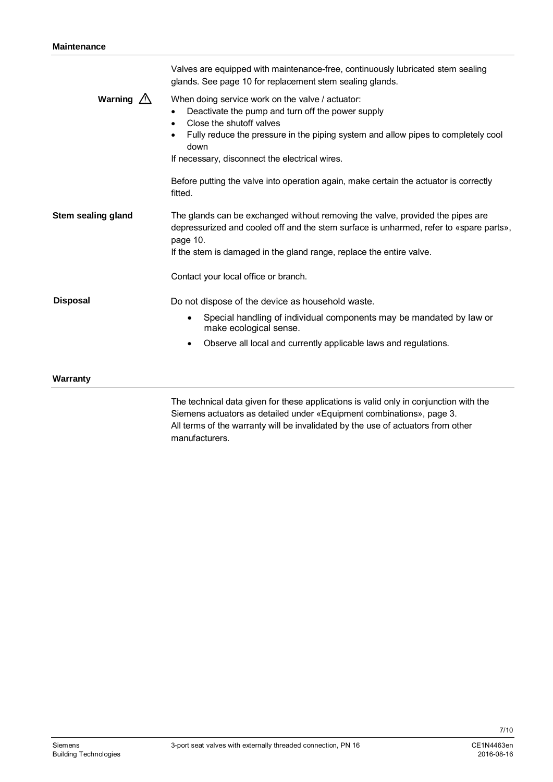|                     | The technical data given for these applications is valid only in conjunction with the<br>Siemens actuators as detailed under «Equipment combinations», page 3.                                                                                                                                |  |  |  |  |  |
|---------------------|-----------------------------------------------------------------------------------------------------------------------------------------------------------------------------------------------------------------------------------------------------------------------------------------------|--|--|--|--|--|
| Warranty            |                                                                                                                                                                                                                                                                                               |  |  |  |  |  |
|                     | Observe all local and currently applicable laws and regulations.<br>٠                                                                                                                                                                                                                         |  |  |  |  |  |
|                     | Special handling of individual components may be mandated by law or<br>$\bullet$<br>make ecological sense.                                                                                                                                                                                    |  |  |  |  |  |
| <b>Disposal</b>     | Do not dispose of the device as household waste.                                                                                                                                                                                                                                              |  |  |  |  |  |
|                     | Contact your local office or branch.                                                                                                                                                                                                                                                          |  |  |  |  |  |
| Stem sealing gland  | The glands can be exchanged without removing the valve, provided the pipes are<br>depressurized and cooled off and the stem surface is unharmed, refer to «spare parts»,<br>page 10.<br>If the stem is damaged in the gland range, replace the entire valve.                                  |  |  |  |  |  |
|                     | Before putting the valve into operation again, make certain the actuator is correctly<br>fitted.                                                                                                                                                                                              |  |  |  |  |  |
| Warning $\triangle$ | When doing service work on the valve / actuator:<br>Deactivate the pump and turn off the power supply<br>Close the shutoff valves<br>$\bullet$<br>Fully reduce the pressure in the piping system and allow pipes to completely cool<br>down<br>If necessary, disconnect the electrical wires. |  |  |  |  |  |
|                     | Valves are equipped with maintenance-free, continuously lubricated stem sealing<br>glands. See page 10 for replacement stem sealing glands.                                                                                                                                                   |  |  |  |  |  |

Siemens actuators as detailed under «Equipment combinations», page 3. All terms of the warranty will be invalidated by the use of actuators from other manufacturers.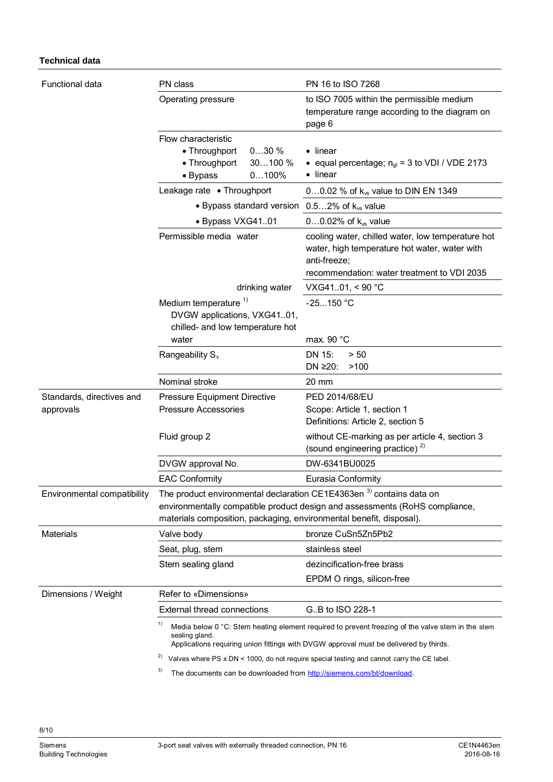#### **Technical data**

| <b>Functional data</b>                 | PN class                                                                                                                                              | PN 16 to ISO 7268                                                                                                                                                                          |  |  |
|----------------------------------------|-------------------------------------------------------------------------------------------------------------------------------------------------------|--------------------------------------------------------------------------------------------------------------------------------------------------------------------------------------------|--|--|
|                                        | Operating pressure                                                                                                                                    | to ISO 7005 within the permissible medium<br>temperature range according to the diagram on<br>page 6                                                                                       |  |  |
|                                        | Flow characteristic<br>• Throughport<br>030%<br>• Throughport<br>30100 %<br>$0100\%$<br>• Bypass                                                      | $\bullet$ linear<br>• equal percentage; $n_{ql}$ = 3 to VDI / VDE 2173<br>• linear                                                                                                         |  |  |
|                                        | Leakage rate • Throughport                                                                                                                            | 00.02 % of $k_{vs}$ value to DIN EN 1349                                                                                                                                                   |  |  |
|                                        | • Bypass standard version $0.52\%$ of $k_{vs}$ value                                                                                                  |                                                                                                                                                                                            |  |  |
|                                        | · Bypass VXG4101                                                                                                                                      | $00.02\%$ of $k_{vs}$ value                                                                                                                                                                |  |  |
|                                        | Permissible media water                                                                                                                               | cooling water, chilled water, low temperature hot<br>water, high temperature hot water, water with<br>anti-freeze;                                                                         |  |  |
|                                        |                                                                                                                                                       | recommendation: water treatment to VDI 2035                                                                                                                                                |  |  |
|                                        | drinking water                                                                                                                                        | VXG4101, < 90 °C                                                                                                                                                                           |  |  |
|                                        | Medium temperature <sup>1)</sup><br>DVGW applications, VXG4101,<br>chilled- and low temperature hot                                                   | $-25150 °C$                                                                                                                                                                                |  |  |
|                                        | water                                                                                                                                                 | max. 90 $^{\circ}$ C                                                                                                                                                                       |  |  |
|                                        | Rangeability $S_{v}$                                                                                                                                  | DN 15:<br>> 50<br>DN ≥20:<br>>100                                                                                                                                                          |  |  |
|                                        | Nominal stroke                                                                                                                                        | $20 \text{ mm}$                                                                                                                                                                            |  |  |
| Standards, directives and<br>approvals | <b>Pressure Equipment Directive</b><br><b>Pressure Accessories</b>                                                                                    | PED 2014/68/EU<br>Scope: Article 1, section 1<br>Definitions: Article 2, section 5                                                                                                         |  |  |
|                                        | Fluid group 2                                                                                                                                         | without CE-marking as per article 4, section 3<br>(sound engineering practice) <sup>2)</sup>                                                                                               |  |  |
|                                        | DVGW approval No.                                                                                                                                     | DW-6341BU0025                                                                                                                                                                              |  |  |
|                                        | <b>EAC Conformity</b>                                                                                                                                 | Eurasia Conformity                                                                                                                                                                         |  |  |
| Environmental compatibility            | The product environmental declaration CE1E4363en <sup>3</sup> contains data on<br>materials composition, packaging, environmental benefit, disposal). | environmentally compatible product design and assessments (RoHS compliance,                                                                                                                |  |  |
| <b>Materials</b>                       | Valve body                                                                                                                                            | bronze CuSn5Zn5Pb2                                                                                                                                                                         |  |  |
|                                        | Seat, plug, stem                                                                                                                                      | stainless steel                                                                                                                                                                            |  |  |
|                                        | Stem sealing gland                                                                                                                                    | dezincification-free brass                                                                                                                                                                 |  |  |
|                                        |                                                                                                                                                       | EPDM O rings, silicon-free                                                                                                                                                                 |  |  |
| Dimensions / Weight                    | Refer to «Dimensions»                                                                                                                                 |                                                                                                                                                                                            |  |  |
|                                        | <b>External thread connections</b>                                                                                                                    | GB to ISO 228-1                                                                                                                                                                            |  |  |
|                                        | 1)<br>sealing gland.                                                                                                                                  | Media below 0 °C: Stem heating element required to prevent freezing of the valve stem in the stem<br>Applications requiring union fittings with DVGW approval must be delivered by thirds. |  |  |
|                                        | 2)                                                                                                                                                    | Valves where PS x DN < 1000, do not require special testing and cannot carry the CE label.                                                                                                 |  |  |
|                                        |                                                                                                                                                       |                                                                                                                                                                                            |  |  |

<sup>3)</sup> The documents can be downloaded from [http://siemens.com/bt/download.](http://siemens.com/bt/download)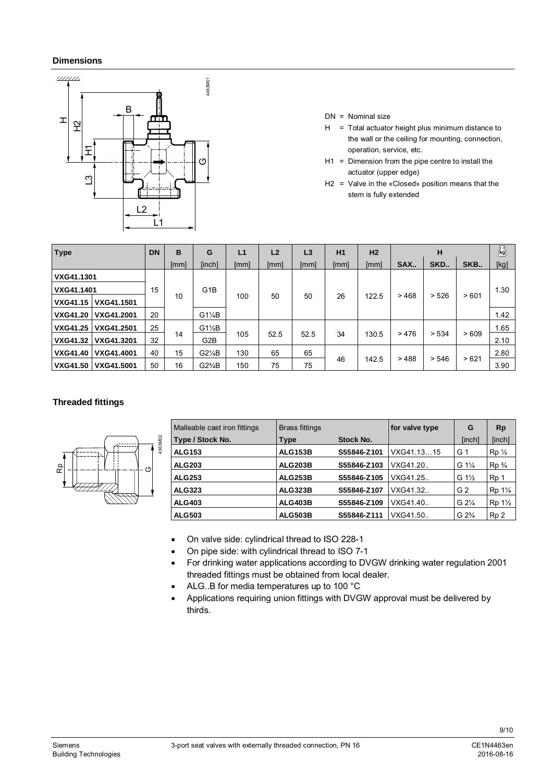#### **Dimensions**



- DN = Nominal size
- $H = Total actuator height plus minimum distance to$ the wall or the ceiling for mounting, connection, operation, service, etc.
- H1 = Dimension from the pipe centre to install the actuator (upper edge)
- H2 = Valve in the «Closed» position means that the stem is fully extended

| <b>Type</b>     |            | <b>DN</b> | B    | G                       | L1   | L <sub>2</sub> | L3   | H1       | H <sub>2</sub> |      | н     |      | $\overline{\mathbf{k}}$ g |
|-----------------|------------|-----------|------|-------------------------|------|----------------|------|----------|----------------|------|-------|------|---------------------------|
|                 |            |           | [mm] | [inch]                  | [mm] | [mm]           | [mm] | [mm]     | [mm]           | SAX  | SKD   | SKB  | [kg]                      |
| VXG41.1301      |            |           |      |                         |      |                |      |          |                |      |       |      |                           |
| VXG41.1401      |            | 15        |      | G <sub>1</sub> B<br>100 |      |                |      |          | 122.5          | >468 | > 526 | >601 | 1.30                      |
| <b>VXG41.15</b> | VXG41.1501 |           | 10   |                         |      | 50             |      | 50<br>26 |                |      |       |      |                           |
| <b>VXG41.20</b> | VXG41.2001 | 20        |      | $G1\frac{1}{4}B$        |      |                |      |          |                |      |       |      | 1.42                      |
| <b>VXG41.25</b> | VXG41.2501 | 25        |      | $G1\frac{1}{2}B$        |      |                |      |          | 130.5          |      | > 534 | >609 | 1.65                      |
| <b>VXG41.32</b> | VXG41.3201 | 32        | 14   | G2B                     | 105  | 52.5           | 52.5 | 34       |                | >476 |       |      | 2.10                      |
| <b>VXG41.40</b> | VXG41.4001 | 40        | 15   | $G2\frac{1}{4}B$        | 130  | 65             | 65   |          |                |      |       |      | 2.80                      |
| <b>VXG41.50</b> | VXG41.5001 | 50        | 16   | $G2\frac{3}{4}B$        | 150  | 75             | 75   | 46       | 142.5          | >488 | > 546 | >621 | 3.90                      |

#### **Threaded fittings**



| Malleable cast iron fittings | <b>Brass fittings</b> |                  | for valve type | G                | <b>Rp</b>                        |
|------------------------------|-----------------------|------------------|----------------|------------------|----------------------------------|
| Type / Stock No.             | Type                  | <b>Stock No.</b> |                | [inch]           | [inch]                           |
| <b>ALG153</b>                | <b>ALG153B</b>        | S55846-Z101      | VXG41.1315     | G <sub>1</sub>   | $Rp\frac{1}{2}$                  |
| <b>ALG203</b>                | <b>ALG203B</b>        | S55846-Z103      | VXG41.20.      | G $1\frac{1}{4}$ | $Rp_{4}$                         |
| <b>ALG253</b>                | <b>ALG253B</b>        | S55846-Z105      | VXG41.25       | G $1\frac{1}{2}$ | Rp <sub>1</sub>                  |
| <b>ALG323</b>                | <b>ALG323B</b>        | S55846-Z107      | VXG41.32       | G 2              | Rp 1 <sup>1</sup> / <sub>4</sub> |
| <b>ALG403</b>                | <b>ALG403B</b>        | S55846-Z109      | VXG41.40       | $G 2\frac{1}{4}$ | Rp 1 <sup>1</sup> / <sub>2</sub> |
| <b>ALG503</b>                | <b>ALG503B</b>        | S55846-Z111      | VXG41.50       | $G 2\frac{3}{4}$ | Rp <sub>2</sub>                  |

- On valve side: cylindrical thread to ISO 228-1
- On pipe side: with cylindrical thread to ISO 7-1
- For drinking water applications according to DVGW drinking water regulation 2001 threaded fittings must be obtained from local dealer.
- ALG..B for media temperatures up to 100 °C
- Applications requiring union fittings with DVGW approval must be delivered by thirds.